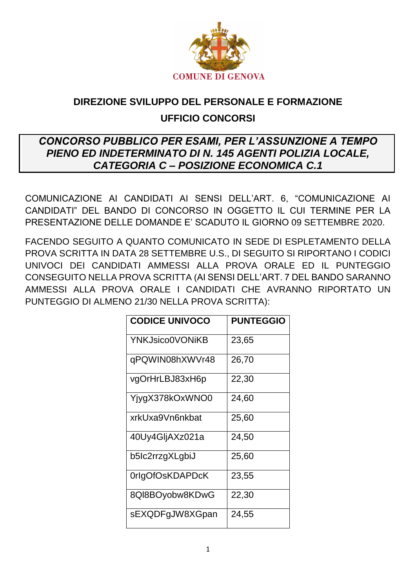

# DIREZIONE SVILUPPO DEL PERSONALE E FORMAZIONE **UFFICIO CONCORSI**

## **CONCORSO PUBBLICO PER ESAMI. PER L'ASSUNZIONE A TEMPO** PIENO ED INDETERMINATO DI N. 145 AGENTI POLIZIA LOCALE, **CATEGORIA C - POSIZIONE ECONOMICA C.1**

COMUNICAZIONE AI CANDIDATI AI SENSI DELL'ART. 6, "COMUNICAZIONE AI CANDIDATI" DEL BANDO DI CONCORSO IN OGGETTO IL CUI TERMINE PER LA PRESENTAZIONE DELLE DOMANDE E' SCADUTO IL GIORNO 09 SETTEMBRE 2020.

FACENDO SEGUITO A QUANTO COMUNICATO IN SEDE DI ESPI FTAMENTO DELLA PROVA SCRITTA IN DATA 28 SETTEMBRE U.S., DI SEGUITO SI RIPORTANO I CODICI UNIVOCI DEI CANDIDATI AMMESSI ALLA PROVA ORALE ED IL PUNTEGGIO CONSEGUITO NELLA PROVA SCRITTA (AI SENSI DELL'ART. 7 DEL BANDO SARANNO AMMESSI ALLA PROVA ORALE I CANDIDATI CHE AVRANNO RIPORTATO UN PUNTEGGIO DI ALMENO 21/30 NELLA PROVA SCRITTA):

| <b>CODICE UNIVOCO</b> | <b>PUNTEGGIO</b> |
|-----------------------|------------------|
| YNKJsico0VONiKB       | 23,65            |
| qPQWIN08hXWVr48       | 26,70            |
| vgOrHrLBJ83xH6p       | 22,30            |
| YjygX378kOxWNO0       | 24,60            |
| xrkUxa9Vn6nkbat       | 25,60            |
| 40Uy4GljAXz021a       | 24,50            |
| b5lc2rrzgXLgbiJ       | 25,60            |
| 0rlgOfOsKDAPDcK       | 23,55            |
| 8QI8BOyobw8KDwG       | 22,30            |
| sEXQDFgJW8XGpan       | 24,55            |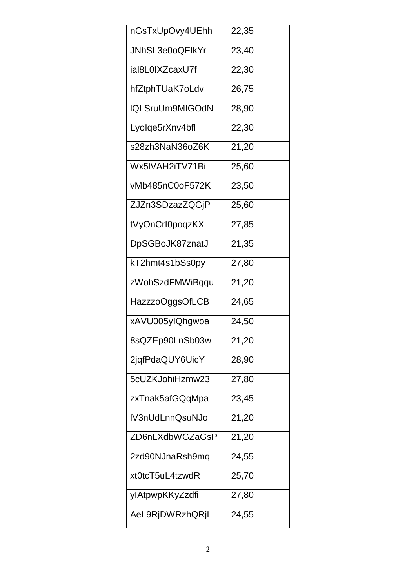| nGsTxUpOvy4UEhh | 22,35 |
|-----------------|-------|
| JNhSL3e0oQFlkYr | 23,40 |
| ial8L0IXZcaxU7f | 22,30 |
| hfZtphTUaK7oLdv | 26,75 |
| IQLSruUm9MIGOdN | 28,90 |
| Lyolqe5rXnv4bfl | 22,30 |
| s28zh3NaN36oZ6K | 21,20 |
| Wx5IVAH2iTV71Bi | 25,60 |
| vMb485nC0oF572K | 23,50 |
| ZJZn3SDzazZQGjP | 25,60 |
| tVyOnCrI0poqzKX | 27,85 |
| DpSGBoJK87znatJ | 21,35 |
| kT2hmt4s1bSs0py | 27,80 |
| zWohSzdFMWiBqqu | 21,20 |
| HazzzoOggsOfLCB | 24,65 |
| xAVU005ylQhgwoa | 24,50 |
| 8sQZEp90LnSb03w | 21,20 |
| 2jqfPdaQUY6UicY | 28,90 |
| 5cUZKJohiHzmw23 | 27,80 |
| zxTnak5afGQqMpa | 23,45 |
| IV3nUdLnnQsuNJo | 21,20 |
| ZD6nLXdbWGZaGsP | 21,20 |
| 2zd90NJnaRsh9mq | 24,55 |
| xt0tcT5uL4tzwdR | 25,70 |
| ylAtpwpKKyZzdfi | 27,80 |
| AeL9RjDWRzhQRjL | 24,55 |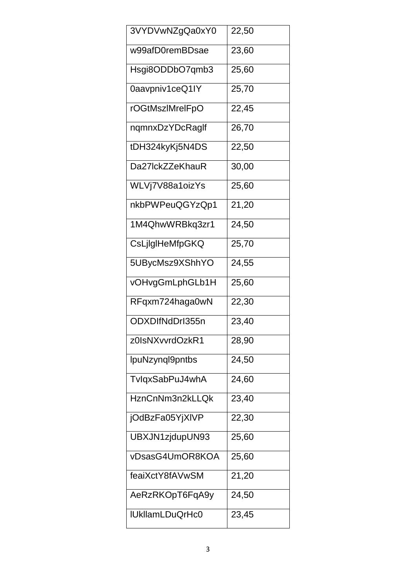| 3VYDVwNZgQa0xY0        | 22,50 |
|------------------------|-------|
| w99afD0remBDsae        | 23,60 |
| Hsgi8ODDbO7qmb3        | 25,60 |
| 0aavpniv1ceQ1IY        | 25,70 |
| rOGtMszlMrelFpO        | 22,45 |
| nqmnxDzYDcRaglf        | 26,70 |
| tDH324kyKj5N4DS        | 22,50 |
| Da27lckZZeKhauR        | 30,00 |
| WLVj7V88a1oizYs        | 25,60 |
| nkbPWPeuQGYzQp1        | 21,20 |
| 1M4QhwWRBkq3zr1        | 24,50 |
| CsLjlgIHeMfpGKQ        | 25,70 |
| 5UBycMsz9XShhYO        | 24,55 |
| vOHvgGmLphGLb1H        | 25,60 |
| RFqxm724haga0wN        | 22,30 |
| ODXDIfNdDrl355n        | 23,40 |
| z0IsNXvvrdOzkR1        | 28,90 |
| IpuNzynql9pntbs        | 24,50 |
| TvlqxSabPuJ4whA        | 24,60 |
| HznCnNm3n2kLLQk        | 23,40 |
| jOdBzFa05YjXIVP        | 22,30 |
| UBXJN1zjdupUN93        | 25,60 |
| vDsasG4UmOR8KOA        | 25,60 |
| feaiXctY8fAVwSM        | 21,20 |
| AeRzRKOpT6FqA9y        | 24,50 |
| <b>IUkllamLDuQrHc0</b> | 23,45 |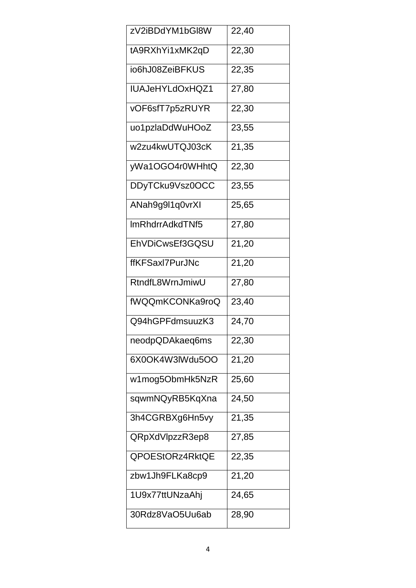| zV2iBDdYM1bGl8W | 22,40 |
|-----------------|-------|
| tA9RXhYi1xMK2qD | 22,30 |
| io6hJ08ZeiBFKUS | 22,35 |
| IUAJeHYLdOxHQZ1 | 27,80 |
| vOF6sfT7p5zRUYR | 22,30 |
| uo1pzlaDdWuHOoZ | 23,55 |
| w2zu4kwUTQJ03cK | 21,35 |
| yWa1OGO4r0WHhtQ | 22,30 |
| DDyTCku9Vsz0OCC | 23,55 |
| ANah9g9l1q0vrXI | 25,65 |
| ImRhdrrAdkdTNf5 | 27,80 |
| EhVDiCwsEf3GQSU | 21,20 |
| ffKFSaxI7PurJNc | 21,20 |
| RtndfL8WrnJmiwU | 27,80 |
| fWQQmKCONKa9roQ | 23,40 |
| Q94hGPFdmsuuzK3 | 24,70 |
| neodpQDAkaeq6ms | 22,30 |
| 6X0OK4W3lWdu5OO | 21,20 |
| w1mog5ObmHk5NzR | 25,60 |
| sqwmNQyRB5KqXna | 24,50 |
| 3h4CGRBXg6Hn5vy | 21,35 |
| QRpXdVlpzzR3ep8 | 27,85 |
| QPOEStORz4RktQE | 22,35 |
| zbw1Jh9FLKa8cp9 | 21,20 |
| 1U9x77ttUNzaAhj | 24,65 |
| 30Rdz8VaO5Uu6ab | 28,90 |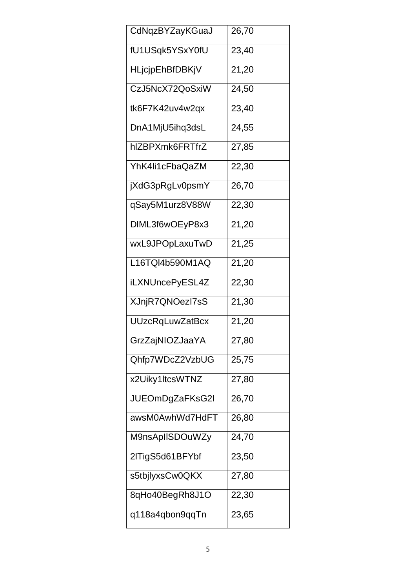| CdNqzBYZayKGuaJ        | 26,70 |
|------------------------|-------|
| fU1USqk5YSxY0fU        | 23,40 |
| HLjcjpEhBfDBKjV        | 21,20 |
| CzJ5NcX72QoSxiW        | 24,50 |
| tk6F7K42uv4w2qx        | 23,40 |
| DnA1MjU5ihq3dsL        | 24,55 |
| hIZBPXmk6FRTfrZ        | 27,85 |
| YhK4li1cFbaQaZM        | 22,30 |
| jXdG3pRgLv0psmY        | 26,70 |
| qSay5M1urz8V88W        | 22,30 |
| DIML3f6wOEyP8x3        | 21,20 |
| wxL9JPOpLaxuTwD        | 21,25 |
| L16TQI4b590M1AQ        | 21,20 |
| iLXNUncePyESL4Z        | 22,30 |
| XJnjR7QNOezl7sS        | 21,30 |
| <b>UUzcRqLuwZatBcx</b> | 21,20 |
| GrzZajNIOZJaaYA        | 27,80 |
| Qhfp7WDcZ2VzbUG        | 25,75 |
| x2Uiky1ItcsWTNZ        | 27,80 |
| JUEOmDgZaFKsG2I        | 26,70 |
| awsM0AwhWd7HdFT        | 26,80 |
| M9nsApIISDOuWZy        | 24,70 |
| 2lTigS5d61BFYbf        | 23,50 |
| s5tbjlyxsCw0QKX        | 27,80 |
| 8qHo40BegRh8J1O        | 22,30 |
| q118a4qbon9qqTn        | 23,65 |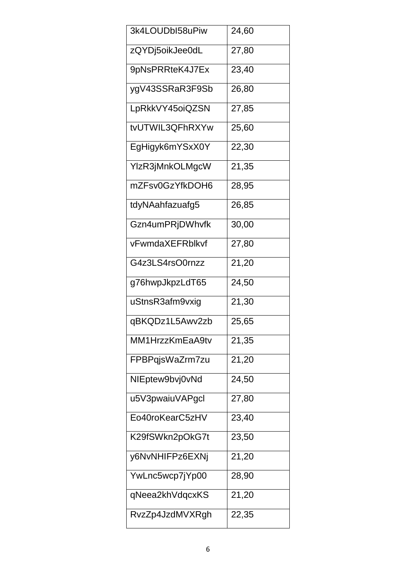| 3k4LOUDbI58uPiw | 24,60 |
|-----------------|-------|
| zQYDj5oikJee0dL | 27,80 |
| 9pNsPRRteK4J7Ex | 23,40 |
| ygV43SSRaR3F9Sb | 26,80 |
| LpRkkVY45oiQZSN | 27,85 |
| tvUTWIL3QFhRXYw | 25,60 |
| EgHigyk6mYSxX0Y | 22,30 |
| YlzR3jMnkOLMgcW | 21,35 |
| mZFsv0GzYfkDOH6 | 28,95 |
| tdyNAahfazuafg5 | 26,85 |
| Gzn4umPRjDWhvfk | 30,00 |
| vFwmdaXEFRblkvf | 27,80 |
| G4z3LS4rsO0rnzz | 21,20 |
| g76hwpJkpzLdT65 | 24,50 |
| uStnsR3afm9vxig | 21,30 |
| qBKQDz1L5Awv2zb | 25,65 |
| MM1HrzzKmEaA9tv | 21,35 |
| FPBPqjsWaZrm7zu | 21,20 |
| NIEptew9bvj0vNd | 24,50 |
| u5V3pwaiuVAPgcl | 27,80 |
| Eo40roKearC5zHV | 23,40 |
| K29fSWkn2pOkG7t | 23,50 |
| y6NvNHIFPz6EXNj | 21,20 |
| YwLnc5wcp7jYp00 | 28,90 |
| qNeea2khVdqcxKS | 21,20 |
| RvzZp4JzdMVXRgh | 22,35 |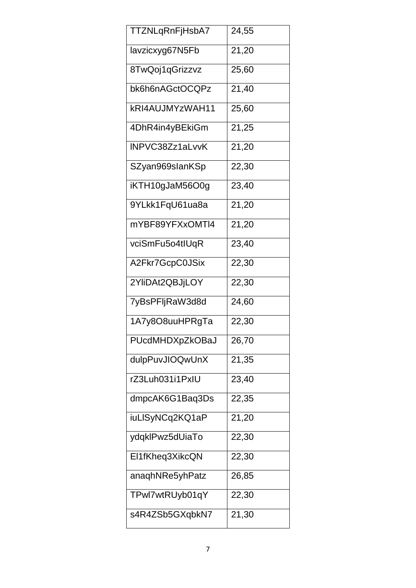| TTZNLqRnFjHsbA7 | 24,55 |
|-----------------|-------|
| lavzicxyg67N5Fb | 21,20 |
| 8TwQoj1qGrizzvz | 25,60 |
| bk6h6nAGctOCQPz | 21,40 |
| kRI4AUJMYzWAH11 | 25,60 |
| 4DhR4in4yBEkiGm | 21,25 |
| INPVC38Zz1aLvvK | 21,20 |
| SZyan969slanKSp | 22,30 |
| iKTH10gJaM56O0g | 23,40 |
| 9YLkk1FqU61ua8a | 21,20 |
| mYBF89YFXxOMTI4 | 21,20 |
| vciSmFu5o4tIUqR | 23,40 |
| A2Fkr7GcpC0JSix | 22,30 |
| 2YliDAt2QBJjLOY | 22,30 |
| 7yBsPFljRaW3d8d | 24,60 |
| 1A7y8O8uuHPRgTa | 22,30 |
| PUcdMHDXpZkOBaJ | 26,70 |
| dulpPuvJIOQwUnX | 21,35 |
| rZ3Luh031i1PxIU | 23,40 |
| dmpcAK6G1Baq3Ds | 22,35 |
| iuLISyNCq2KQ1aP | 21,20 |
| ydqklPwz5dUiaTo | 22,30 |
| El1fKheq3XikcQN | 22,30 |
| anaqhNRe5yhPatz | 26,85 |
| TPwl7wtRUyb01qY | 22,30 |
| s4R4ZSb5GXqbkN7 | 21,30 |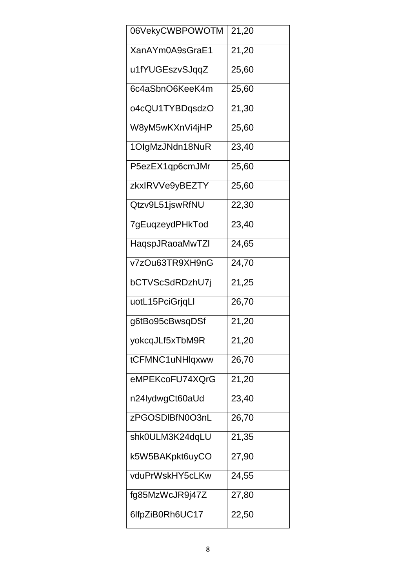| 06VekyCWBPOWOTM | 21,20 |
|-----------------|-------|
| XanAYm0A9sGraE1 | 21,20 |
| u1fYUGEszvSJqqZ | 25,60 |
| 6c4aSbnO6KeeK4m | 25,60 |
| o4cQU1TYBDqsdzO | 21,30 |
| W8yM5wKXnVi4jHP | 25,60 |
| 1OlgMzJNdn18NuR | 23,40 |
| P5ezEX1qp6cmJMr | 25,60 |
| zkxlRVVe9yBEZTY | 25,60 |
| Qtzv9L51jswRfNU | 22,30 |
| 7gEuqzeydPHkTod | 23,40 |
| HaqspJRaoaMwTZI | 24,65 |
| v7zOu63TR9XH9nG | 24,70 |
| bCTVScSdRDzhU7j | 21,25 |
| uotL15PciGrjqLl | 26,70 |
| g6tBo95cBwsqDSf | 21,20 |
| yokcqJLf5xTbM9R | 21,20 |
| tCFMNC1uNHlqxww | 26,70 |
| eMPEKcoFU74XQrG | 21,20 |
| n24lydwgCt60aUd | 23,40 |
| zPGOSDIBfN0O3nL | 26,70 |
| shk0ULM3K24dqLU | 21,35 |
| k5W5BAKpkt6uyCO | 27,90 |
| vduPrWskHY5cLKw | 24,55 |
| fg85MzWcJR9j47Z | 27,80 |
| 6lfpZiB0Rh6UC17 | 22,50 |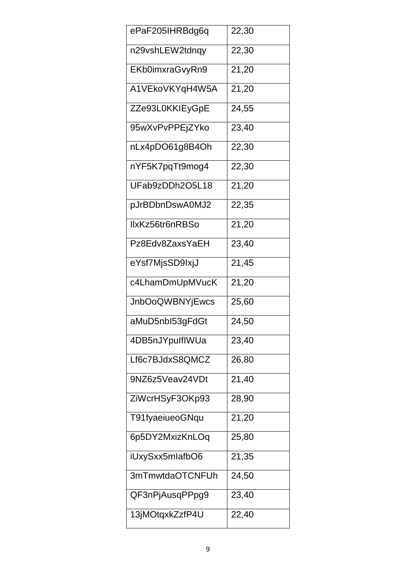| ePaF205IHRBdg6q        | 22,30 |
|------------------------|-------|
| n29vshLEW2tdnqy        | 22,30 |
| EKb0imxraGvyRn9        | 21,20 |
| A1VEkoVKYqH4W5A        | 21,20 |
| ZZe93L0KKIEyGpE        | 24,55 |
| 95wXvPvPPEjZYko        | 23,40 |
| nLx4pDO61g8B4Oh        | 22,30 |
| nYF5K7pqTt9mog4        | 22,30 |
| UFab9zDDh2O5L18        | 21,20 |
| pJrBDbnDswA0MJ2        | 22,35 |
| IIxKz56tr6nRBSo        | 21,20 |
| Pz8Edv8ZaxsYaEH        | 23,40 |
| eYsf7MjsSD9IxjJ        | 21,45 |
| c4LhamDmUpMVucK        | 21,20 |
| <b>JnbOoQWBNYjEwcs</b> | 25,60 |
| aMuD5nbl53gFdGt        | 24,50 |
| 4DB5nJYpulflWUa        | 23,40 |
| Lf6c7BJdxS8QMCZ        | 26,80 |
| 9NZ6z5Veav24VDt        | 21,40 |
| ZiWcrHSyF3OKp93        | 28,90 |
| T91fyaeiueoGNqu        | 21,20 |
| 6p5DY2MxizKnLOq        | 25,80 |
| iUxySxx5mlafbO6        | 21,35 |
| 3mTmwtdaOTCNFUh        | 24,50 |
| QF3nPjAusqPPpg9        | 23,40 |
| 13jMOtqxkZzfP4U        | 22,40 |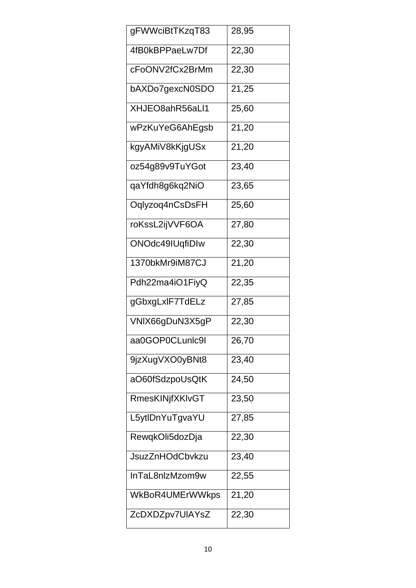| gFWWciBtTKzqT83        | 28,95 |
|------------------------|-------|
| 4fB0kBPPaeLw7Df        | 22,30 |
| cFoONV2fCx2BrMm        | 22,30 |
| bAXDo7gexcN0SDO        | 21,25 |
| XHJEO8ahR56aLl1        | 25,60 |
| wPzKuYeG6AhEgsb        | 21,20 |
| kgyAMiV8kKjgUSx        | 21,20 |
| oz54g89v9TuYGot        | 23,40 |
| qaYfdh8g6kq2NiO        | 23,65 |
| Oqlyzoq4nCsDsFH        | 25,60 |
| roKssL2ijVVF6OA        | 27,80 |
| ONOdc49IUqfiDIw        | 22,30 |
| 1370bkMr9iM87CJ        | 21,20 |
| Pdh22ma4iO1FiyQ        | 22,35 |
| gGbxgLxlF7TdELz        | 27,85 |
| VNIX66gDuN3X5gP        | 22,30 |
| aa0GOP0CLunlc9l        | 26,70 |
| 9jzXugVXO0yBNt8        | 23,40 |
| aO60fSdzpoUsQtK        | 24,50 |
| <b>RmesKINjfXKIvGT</b> | 23,50 |
| L5ytlDnYuTgvaYU        | 27,85 |
| RewqkOli5dozDja        | 22,30 |
| <b>JsuzZnHOdCbvkzu</b> | 23,40 |
| InTaL8nlzMzom9w        | 22,55 |
| WkBoR4UMErWWkps        | 21,20 |
| ZcDXDZpv7UIAYsZ        | 22,30 |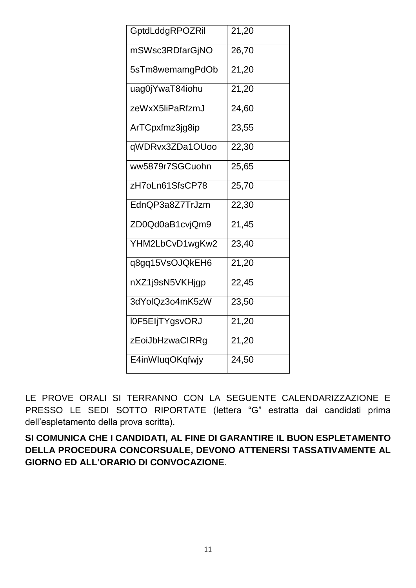| GptdLddgRPOZRil | 21,20               |
|-----------------|---------------------|
| mSWsc3RDfarGjNO | 26,70               |
| 5sTm8wemamgPdOb | 21,20               |
| uag0jYwaT84iohu | 21,20               |
| zeWxX5liPaRfzmJ | 24,60               |
| ArTCpxfmz3jg8ip | 23,55               |
| qWDRvx3ZDa1OUoo | 22,30               |
| ww5879r7SGCuohn | 25,65               |
| zH7oLn61SfsCP78 | 25,70               |
| EdnQP3a8Z7TrJzm | 22,30               |
| ZD0Qd0aB1cvjQm9 | 21,45               |
| YHM2LbCvD1wgKw2 | 23,40               |
| q8gq15VsOJQkEH6 | 21,20               |
| nXZ1j9sN5VKHjgp | 22,45               |
| 3dYolQz3o4mK5zW | 23,50               |
| I0F5EIjTYgsvORJ | $\overline{21}, 20$ |
| zEoiJbHzwaCIRRg | 21,20               |
| E4inWluqOKqfwjy | 24,50               |

LE PROVE ORALI SI TERRANNO CON LA SEGUENTE CALENDARIZZAZIONE E PRESSO LE SEDI SOTTO RIPORTATE (lettera "G" estratta dai candidati prima dell'espletamento della prova scritta).

SI COMUNICA CHE I CANDIDATI, AL FINE DI GARANTIRE IL BUON ESPLETAMENTO DELLA PROCEDURA CONCORSUALE, DEVONO ATTENERSI TASSATIVAMENTE AL **GIORNO ED ALL'ORARIO DI CONVOCAZIONE.**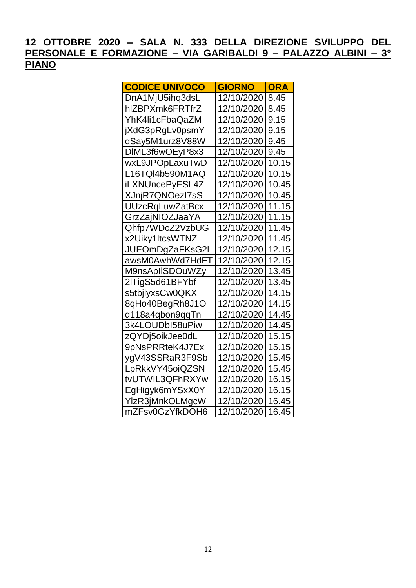| <b>CODICE UNIVOCO</b>  | <b>GIORNO</b> | <b>ORA</b> |
|------------------------|---------------|------------|
| DnA1MjU5ihq3dsL        | 12/10/2020    | 8.45       |
| hIZBPXmk6FRTfrZ        | 12/10/2020    | 8.45       |
| YhK4li1cFbaQaZM        | 12/10/2020    | 9.15       |
| jXdG3pRgLv0psmY        | 12/10/2020    | 9.15       |
| qSay5M1urz8V88W        | 12/10/2020    | 9.45       |
| DIML3f6wOEyP8x3        | 12/10/2020    | 9.45       |
| wxL9JPOpLaxuTwD        | 12/10/2020    | 10.15      |
| L16TQI4b590M1AQ        | 12/10/2020    | 10.15      |
| iLXNUncePyESL4Z        | 12/10/2020    | 10.45      |
| XJnjR7QNOezl7sS        | 12/10/2020    | 10.45      |
| <b>UUzcRqLuwZatBcx</b> | 12/10/2020    | 11.15      |
| GrzZajNIOZJaaYA        | 12/10/2020    | 11.15      |
| Qhfp7WDcZ2VzbUG        | 12/10/2020    | 11.45      |
| x2Uiky1ltcsWTNZ        | 12/10/2020    | 11.45      |
| JUEOmDgZaFKsG2I        | 12/10/2020    | 12.15      |
| awsM0AwhWd7HdFT        | 12/10/2020    | 12.15      |
| M9nsApIISDOuWZy        | 12/10/2020    | 13.45      |
| 2lTigS5d61BFYbf        | 12/10/2020    | 13.45      |
| s5tbjlyxsCw0QKX        | 12/10/2020    | 14.15      |
| 8qHo40BegRh8J1O        | 12/10/2020    | 14.15      |
| q118a4qbon9qqTn        | 12/10/2020    | 14.45      |
| 3k4LOUDbI58uPiw        | 12/10/2020    | 14.45      |
| zQYDj5oikJee0dL        | 12/10/2020    | 15.15      |
| 9pNsPRRteK4J7Ex        | 12/10/2020    | 15.15      |
| ygV43SSRaR3F9Sb        | 12/10/2020    | 15.45      |
| LpRkkVY45oiQZSN        | 12/10/2020    | 15.45      |
| tvUTWIL3QFhRXYw        | 12/10/2020    | 16.15      |
| EgHigyk6mYSxX0Y        | 12/10/2020    | 16.15      |
| YlzR3jMnkOLMgcW        | 12/10/2020    | 16.45      |
| mZFsv0GzYfkDOH6        | 12/10/2020    | 16.45      |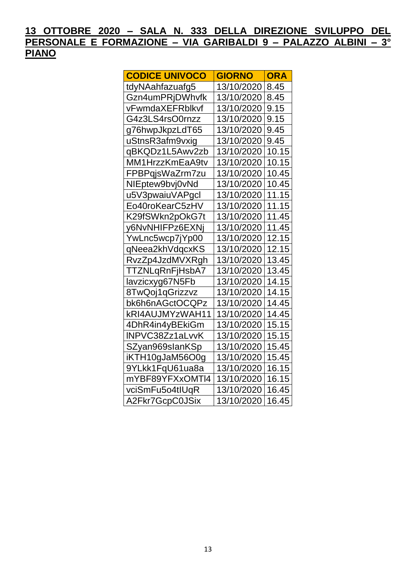| <b>CODICE UNIVOCO</b> | <b>GIORNO</b> | <b>ORA</b> |
|-----------------------|---------------|------------|
| tdyNAahfazuafg5       | 13/10/2020    | 8.45       |
| Gzn4umPRjDWhvfk       | 13/10/2020    | 8.45       |
| vFwmdaXEFRblkvf       | 13/10/2020    | 9.15       |
| G4z3LS4rsO0rnzz       | 13/10/2020    | 9.15       |
| g76hwpJkpzLdT65       | 13/10/2020    | 9.45       |
| uStnsR3afm9vxig       | 13/10/2020    | 9.45       |
| qBKQDz1L5Awv2zb       | 13/10/2020    | 10.15      |
| MM1HrzzKmEaA9tv       | 13/10/2020    | 10.15      |
| FPBPqjsWaZrm7zu       | 13/10/2020    | 10.45      |
| NIEptew9bvj0vNd       | 13/10/2020    | 10.45      |
| u5V3pwaiuVAPgcl       | 13/10/2020    | 11.15      |
| Eo40roKearC5zHV       | 13/10/2020    | 11.15      |
| K29fSWkn2pOkG7t       | 13/10/2020    | 11.45      |
| y6NvNHIFPz6EXNi       | 13/10/2020    | 11.45      |
| YwLnc5wcp7jYp00       | 13/10/2020    | 12.15      |
| qNeea2khVdqcxKS       | 13/10/2020    | 12.15      |
| RvzZp4JzdMVXRgh       | 13/10/2020    | 13.45      |
| TTZNLqRnFjHsbA7       | 13/10/2020    | 13.45      |
| lavzicxyg67N5Fb       | 13/10/2020    | 14.15      |
| 8TwQoj1qGrizzvz       | 13/10/2020    | 14.15      |
| bk6h6nAGctOCQPz       | 13/10/2020    | 14.45      |
| kRI4AUJMYzWAH11       | 13/10/2020    | 14.45      |
| 4DhR4in4yBEkiGm       | 13/10/2020    | 15.15      |
| INPVC38Zz1aLvvK       | 13/10/2020    | 15.15      |
| SZyan969slanKSp       | 13/10/2020    | 15.45      |
| iKTH10gJaM56O0g       | 13/10/2020    | 15.45      |
| 9YLkk1FqU61ua8a       | 13/10/2020    | 16.15      |
| mYBF89YFXxOMTI4       | 13/10/2020    | 16.15      |
| vciSmFu5o4tIUqR       | 13/10/2020    | 16.45      |
| A2Fkr7GcpC0JSix       | 13/10/2020    | 16.45      |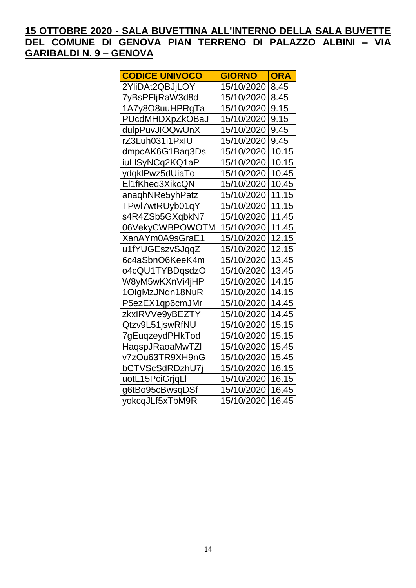### 15 OTTOBRE 2020 - SALA BUVETTINA ALL'INTERNO DELLA SALA BUVETTE DEL COMUNE DI GENOVA PIAN TERRENO DI PALAZZO ALBINI - VIA **GARIBALDI N. 9 - GENOVA**

| <b>CODICE UNIVOCO</b> | <b>GIORNO</b> | <b>ORA</b> |
|-----------------------|---------------|------------|
| 2YIiDAt2QBJjLOY       | 15/10/2020    | 8.45       |
| 7yBsPFljRaW3d8d       | 15/10/2020    | 8.45       |
| 1A7y8O8uuHPRgTa       | 15/10/2020    | 9.15       |
| PUcdMHDXpZkOBaJ       | 15/10/2020    | 9.15       |
| dulpPuvJIOQwUnX       | 15/10/2020    | 9.45       |
| rZ3Luh031i1PxIU       | 15/10/2020    | 9.45       |
| dmpcAK6G1Baq3Ds       | 15/10/2020    | 10.15      |
| iuLISyNCq2KQ1aP       | 15/10/2020    | 10.15      |
| ydqklPwz5dUiaTo       | 15/10/2020    | 10.45      |
| El1fKheq3XikcQN       | 15/10/2020    | 10.45      |
| anaqhNRe5yhPatz       | 15/10/2020    | 11.15      |
| TPwl7wtRUyb01qY       | 15/10/2020    | 11.15      |
| s4R4ZSb5GXqbkN7       | 15/10/2020    | 11.45      |
| 06VekyCWBPOWOTM       | 15/10/2020    | 11.45      |
| XanAYm0A9sGraE1       | 15/10/2020    | 12.15      |
| u1fYUGEszvSJqqZ       | 15/10/2020    | 12.15      |
| 6c4aSbnO6KeeK4m       | 15/10/2020    | 13.45      |
| o4cQU1TYBDqsdzO       | 15/10/2020    | 13.45      |
| W8yM5wKXnVi4jHP       | 15/10/2020    | 14.15      |
| 1OlgMzJNdn18NuR       | 15/10/2020    | 14.15      |
| P5ezEX1qp6cmJMr       | 15/10/2020    | 14.45      |
| zkxIRVVe9yBEZTY       | 15/10/2020    | 14.45      |
| Qtzv9L51jswRfNU       | 15/10/2020    | 15.15      |
| 7gEuqzeydPHkTod       | 15/10/2020    | 15.15      |
| HaqspJRaoaMwTZI       | 15/10/2020    | 15.45      |
| v7zOu63TR9XH9nG       | 15/10/2020    | 15.45      |
| bCTVScSdRDzhU7j       | 15/10/2020    | 16.15      |
| uotL15PciGrjqLl       | 15/10/2020    | 16.15      |
| g6tBo95cBwsqDSf       | 15/10/2020    | 16.45      |
| yokcqJLf5xTbM9R       | 15/10/2020    | 16.45      |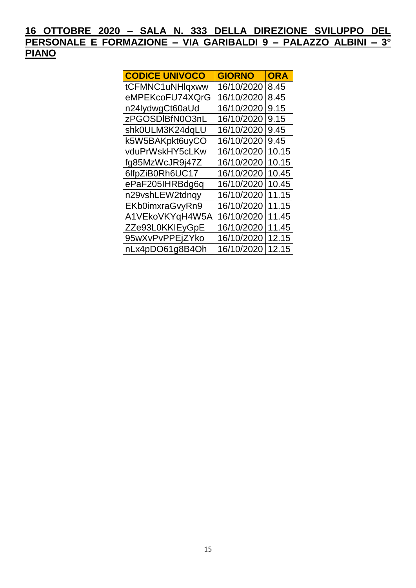| <b>CODICE UNIVOCO</b> | <b>GIORNO</b> | <b>ORA</b> |
|-----------------------|---------------|------------|
| tCFMNC1uNHlqxww       | 16/10/2020    | 8.45       |
| eMPEKcoFU74XQrG       | 16/10/2020    | 8.45       |
| n24lydwgCt60aUd       | 16/10/2020    | 9.15       |
| zPGOSDIBfN0O3nL       | 16/10/2020    | 9.15       |
| shk0ULM3K24dqLU       | 16/10/2020    | 9.45       |
| k5W5BAKpkt6uyCO       | 16/10/2020    | 9.45       |
| vduPrWskHY5cLKw       | 16/10/2020    | 10.15      |
| fg85MzWcJR9j47Z       | 16/10/2020    | 10.15      |
| 6lfpZiB0Rh6UC17       | 16/10/2020    | 10.45      |
| ePaF205IHRBdg6q       | 16/10/2020    | 10.45      |
| n29vshLEW2tdnqy       | 16/10/2020    | 11.15      |
| EKb0imxraGvyRn9       | 16/10/2020    | 11.15      |
| A1VEkoVKYqH4W5A       | 16/10/2020    | 11.45      |
| ZZe93L0KKIEyGpE       | 16/10/2020    | 11.45      |
| 95wXvPvPPEjZYko       | 16/10/2020    | 12.15      |
| nLx4pDO61g8B4Oh       | 16/10/2020    | 12.15      |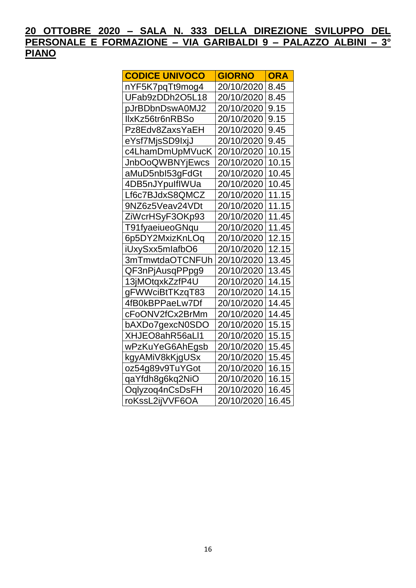| <b>CODICE UNIVOCO</b>  | <b>GIORNO</b> | <b>ORA</b> |
|------------------------|---------------|------------|
| nYF5K7pqTt9mog4        | 20/10/2020    | 8.45       |
| UFab9zDDh2O5L18        | 20/10/2020    | 8.45       |
| pJrBDbnDswA0MJ2        | 20/10/2020    | 9.15       |
| IlxKz56tr6nRBSo        | 20/10/2020    | 9.15       |
| Pz8Edv8ZaxsYaEH        | 20/10/2020    | 9.45       |
| eYsf7MjsSD9IxjJ        | 20/10/2020    | 9.45       |
| c4LhamDmUpMVucK        | 20/10/2020    | 10.15      |
| <b>JnbOoQWBNYjEwcs</b> | 20/10/2020    | 10.15      |
| aMuD5nbl53gFdGt        | 20/10/2020    | 10.45      |
| 4DB5nJYpulflWUa        | 20/10/2020    | 10.45      |
| Lf6c7BJdxS8QMCZ        | 20/10/2020    | 11.15      |
| 9NZ6z5Veav24VDt        | 20/10/2020    | 11.15      |
| ZiWcrHSyF3OKp93        | 20/10/2020    | 11.45      |
| T91fyaeiueoGNqu        | 20/10/2020    | 11.45      |
| 6p5DY2MxizKnLOq        | 20/10/2020    | 12.15      |
| iUxySxx5mlafbO6        | 20/10/2020    | 12.15      |
| 3mTmwtdaOTCNFUh        | 20/10/2020    | 13.45      |
| QF3nPjAusqPPpg9        | 20/10/2020    | 13.45      |
| 13jMOtqxkZzfP4U        | 20/10/2020    | 14.15      |
| gFWWciBtTKzqT83        | 20/10/2020    | 14.15      |
| 4fB0kBPPaeLw7Df        | 20/10/2020    | 14.45      |
| cFoONV2fCx2BrMm        | 20/10/2020    | 14.45      |
| bAXDo7gexcN0SDO        | 20/10/2020    | 15.15      |
| XHJEO8ahR56aLl1        | 20/10/2020    | 15.15      |
| wPzKuYeG6AhEgsb        | 20/10/2020    | 15.45      |
| kgyAMiV8kKjgUSx        | 20/10/2020    | 15.45      |
| oz54g89v9TuYGot        | 20/10/2020    | 16.15      |
| qaYfdh8g6kq2NiO        | 20/10/2020    | 16.15      |
| Oqlyzoq4nCsDsFH        | 20/10/2020    | 16.45      |
| roKssL2ijVVF6OA        | 20/10/2020    | 16.45      |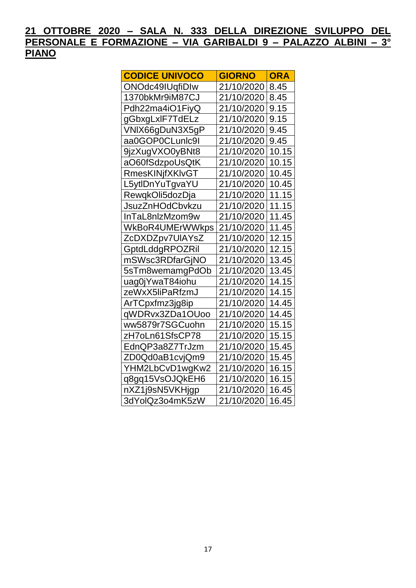| <b>CODICE UNIVOCO</b>  | <b>GIORNO</b> | <b>ORA</b> |
|------------------------|---------------|------------|
| ONOdc49IUqfiDIw        | 21/10/2020    | 8.45       |
| 1370bkMr9iM87CJ        | 21/10/2020    | 8.45       |
| Pdh22ma4iO1FiyQ        | 21/10/2020    | 9.15       |
| gGbxgLxIF7TdELz        | 21/10/2020    | 9.15       |
| VNIX66gDuN3X5gP        | 21/10/2020    | 9.45       |
| aa0GOP0CLunlc9l        | 21/10/2020    | 9.45       |
| 9jzXugVXO0yBNt8        | 21/10/2020    | 10.15      |
| aO60fSdzpoUsQtK        | 21/10/2020    | 10.15      |
| <b>RmesKINjfXKIvGT</b> | 21/10/2020    | 10.45      |
| L5ytIDnYuTgvaYU        | 21/10/2020    | 10.45      |
| RewqkOli5dozDja        | 21/10/2020    | 11.15      |
| JsuzZnHOdCbvkzu        | 21/10/2020    | 11.15      |
| InTaL8nlzMzom9w        | 21/10/2020    | 11.45      |
| WkBoR4UMErWWkps        | 21/10/2020    | 11.45      |
| ZcDXDZpv7UIAYsZ        | 21/10/2020    | 12.15      |
| GptdLddgRPOZRil        | 21/10/2020    | 12.15      |
| mSWsc3RDfarGjNO        | 21/10/2020    | 13.45      |
| 5sTm8wemamgPdOb        | 21/10/2020    | 13.45      |
| uag0jYwaT84iohu        | 21/10/2020    | 14.15      |
| zeWxX5liPaRfzmJ        | 21/10/2020    | 14.15      |
| ArTCpxfmz3jg8ip        | 21/10/2020    | 14.45      |
| qWDRvx3ZDa1OUoo        | 21/10/2020    | 14.45      |
| ww5879r7SGCuohn        | 21/10/2020    | 15.15      |
| zH7oLn61SfsCP78        | 21/10/2020    | 15.15      |
| EdnQP3a8Z7TrJzm        | 21/10/2020    | 15.45      |
| ZD0Qd0aB1cvjQm9        | 21/10/2020    | 15.45      |
| YHM2LbCvD1wgKw2        | 21/10/2020    | 16.15      |
| q8gq15VsOJQkEH6        | 21/10/2020    | 16.15      |
| nXZ1j9sN5VKHjgp        | 21/10/2020    | 16.45      |
| 3dYolQz3o4mK5zW        | 21/10/2020    | 16.45      |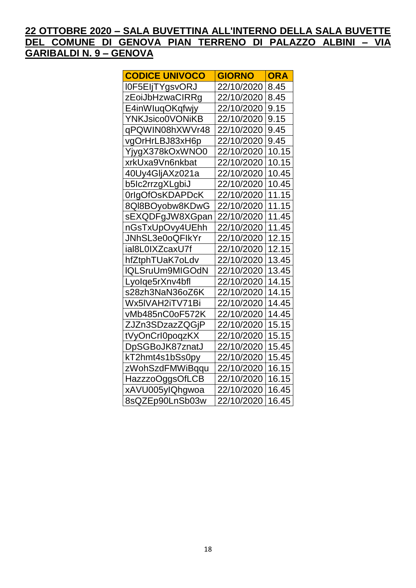### 22 OTTOBRE 2020 - SALA BUVETTINA ALL'INTERNO DELLA SALA BUVETTE DEL COMUNE DI GENOVA PIAN TERRENO DI PALAZZO ALBINI - VIA **GARIBALDI N. 9 - GENOVA**

| <b>CODICE UNIVOCO</b> | <b>GIORNO</b> | <b>ORA</b> |
|-----------------------|---------------|------------|
| I0F5EIjTYgsvORJ       | 22/10/2020    | 8.45       |
| zEoiJbHzwaCIRRg       | 22/10/2020    | 8.45       |
| E4inWluqOKqfwjy       | 22/10/2020    | 9.15       |
| YNKJsico0VONiKB       | 22/10/2020    | 9.15       |
| qPQWIN08hXWVr48       | 22/10/2020    | 9.45       |
| vgOrHrLBJ83xH6p       | 22/10/2020    | 9.45       |
| YjygX378kOxWNO0       | 22/10/2020    | 10.15      |
| xrkUxa9Vn6nkbat       | 22/10/2020    | 10.15      |
| 40Uy4GljAXz021a       | 22/10/2020    | 10.45      |
| b5lc2rrzgXLgbiJ       | 22/10/2020    | 10.45      |
| 0rlgOfOsKDAPDcK       | 22/10/2020    | 11.15      |
| 8QI8BOyobw8KDwG       | 22/10/2020    | 11.15      |
| sEXQDFgJW8XGpan       | 22/10/2020    | 11.45      |
| nGsTxUpOvy4UEhh       | 22/10/2020    | 11.45      |
| JNhSL3e0oQFIkYr       | 22/10/2020    | 12.15      |
| ial8L0IXZcaxU7f       | 22/10/2020    | 12.15      |
| hfZtphTUaK7oLdv       | 22/10/2020    | 13.45      |
| IQLSruUm9MIGOdN       | 22/10/2020    | 13.45      |
| Lyolqe5rXnv4bfl       | 22/10/2020    | 14.15      |
| s28zh3NaN36oZ6K       | 22/10/2020    | 14.15      |
| Wx5IVAH2iTV71Bi       | 22/10/2020    | 14.45      |
| vMb485nC0oF572K       | 22/10/2020    | 14.45      |
| ZJZn3SDzazZQGjP       | 22/10/2020    | 15.15      |
| tVyOnCrI0poqzKX       | 22/10/2020    | 15.15      |
| DpSGBoJK87znatJ       | 22/10/2020    | 15.45      |
| kT2hmt4s1bSs0py       | 22/10/2020    | 15.45      |
| zWohSzdFMWiBqqu       | 22/10/2020    | 16.15      |
| HazzzoOggsOfLCB       | 22/10/2020    | 16.15      |
| xAVU005ylQhgwoa       | 22/10/2020    | 16.45      |
| 8sQZEp90LnSb03w       | 22/10/2020    | 16.45      |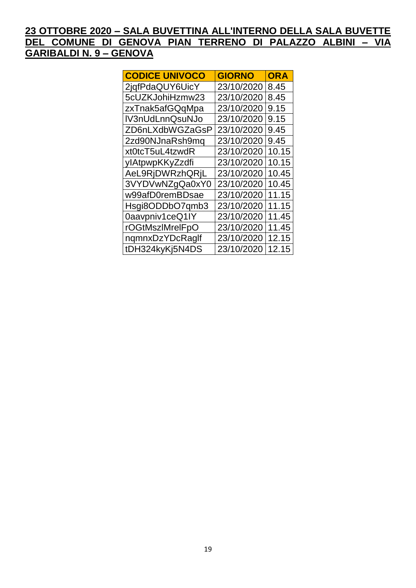### 23 OTTOBRE 2020 - SALA BUVETTINA ALL'INTERNO DELLA SALA BUVETTE DEL COMUNE DI GENOVA PIAN TERRENO DI PALAZZO ALBINI - VIA **GARIBALDI N. 9 - GENOVA**

| <b>CODICE UNIVOCO</b> | <b>GIORNO</b> | <b>ORA</b> |
|-----------------------|---------------|------------|
| 2jqfPdaQUY6UicY       | 23/10/2020    | 8.45       |
| 5cUZKJohiHzmw23       | 23/10/2020    | 8.45       |
| zxTnak5afGQqMpa       | 23/10/2020    | 9.15       |
| IV3nUdLnnQsuNJo       | 23/10/2020    | 9.15       |
| ZD6nLXdbWGZaGsP       | 23/10/2020    | 9.45       |
| 2zd90NJnaRsh9mq       | 23/10/2020    | 9.45       |
| xt0tcT5uL4tzwdR       | 23/10/2020    | 10.15      |
| ylAtpwpKKyZzdfi       | 23/10/2020    | 10.15      |
| AeL9RjDWRzhQRjL       | 23/10/2020    | 10.45      |
| 3VYDVwNZgQa0xY0       | 23/10/2020    | 10.45      |
| w99afD0remBDsae       | 23/10/2020    | 11.15      |
| Hsgi8ODDbO7qmb3       | 23/10/2020    | 11.15      |
| 0aavpniv1ceQ1IY       | 23/10/2020    | 11.45      |
| rOGtMszlMrelFpO       | 23/10/2020    | 11.45      |
| ngmnxDzYDcRaglf       | 23/10/2020    | 12.15      |
| tDH324kyKj5N4DS       | 23/10/2020    | 12.15      |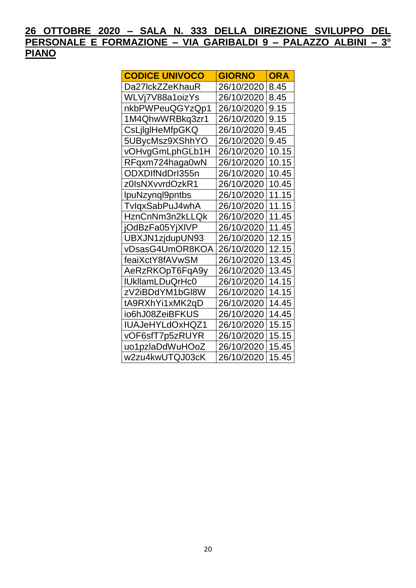| <b>CODICE UNIVOCO</b>  | <b>GIORNO</b> | <b>ORA</b> |
|------------------------|---------------|------------|
| Da27lckZZeKhauR        | 26/10/2020    | 8.45       |
| WLVj7V88a1oizYs        | 26/10/2020    | 8.45       |
| nkbPWPeuQGYzQp1        | 26/10/2020    | 9.15       |
| 1M4QhwWRBkq3zr1        | 26/10/2020    | 9.15       |
| CsLjlgIHeMfpGKQ        | 26/10/2020    | 9.45       |
| 5UBycMsz9XShhYO        | 26/10/2020    | 9.45       |
| vOHvgGmLphGLb1H        | 26/10/2020    | 10.15      |
| RFqxm724haga0wN        | 26/10/2020    | 10.15      |
| ODXDIfNdDrI355n        | 26/10/2020    | 10.45      |
| z0IsNXvvrdOzkR1        | 26/10/2020    | 10.45      |
| IpuNzynql9pntbs        | 26/10/2020    | 11.15      |
| TvlqxSabPuJ4whA        | 26/10/2020    | 11.15      |
| HznCnNm3n2kLLQk        | 26/10/2020    | 11.45      |
| jOdBzFa05YjXIVP        | 26/10/2020    | 11.45      |
| UBXJN1zjdupUN93        | 26/10/2020    | 12.15      |
| vDsasG4UmOR8KOA        | 26/10/2020    | 12.15      |
| feaiXctY8fAVwSM        | 26/10/2020    | 13.45      |
| AeRzRKOpT6FqA9y        | 26/10/2020    | 13.45      |
| <b>IUkllamLDuQrHc0</b> | 26/10/2020    | 14.15      |
| zV2iBDdYM1bGl8W        | 26/10/2020    | 14.15      |
| tA9RXhYi1xMK2qD        | 26/10/2020    | 14.45      |
| io6hJ08ZeiBFKUS        | 26/10/2020    | 14.45      |
| IUAJeHYLdOxHQZ1        | 26/10/2020    | 15.15      |
| vOF6sfT7p5zRUYR        | 26/10/2020    | 15.15      |
| uo1pzlaDdWuHOoZ        | 26/10/2020    | 15.45      |
| w2zu4kwUTQJ03cK        | 26/10/2020    | 15.45      |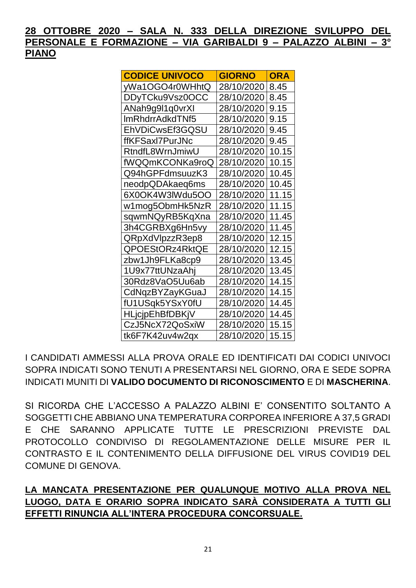| <b>CODICE UNIVOCO</b>  | <b>GIORNO</b> | ORA   |
|------------------------|---------------|-------|
| yWa1OGO4r0WHhtQ        | 28/10/2020    | 8.45  |
| DDyTCku9Vsz0OCC        | 28/10/2020    | 8.45  |
| ANah9g9l1q0vrXI        | 28/10/2020    | 9.15  |
| ImRhdrrAdkdTNf5        | 28/10/2020    | 9.15  |
| EhVDiCwsEf3GQSU        | 28/10/2020    | 9.45  |
| ffKFSaxl7PurJNc        | 28/10/2020    | 9.45  |
| RtndfL8WrnJmiwU        | 28/10/2020    | 10.15 |
| fWQQmKCONKa9roQ        | 28/10/2020    | 10.15 |
| Q94hGPFdmsuuzK3        | 28/10/2020    | 10.45 |
| neodpQDAkaeq6ms        | 28/10/2020    | 10.45 |
| 6X0OK4W3IWdu5OO        | 28/10/2020    | 11.15 |
| w1mog5ObmHk5NzR        | 28/10/2020    | 11.15 |
| sqwmNQyRB5KqXna        | 28/10/2020    | 11.45 |
| 3h4CGRBXg6Hn5vy        | 28/10/2020    | 11.45 |
| QRpXdVlpzzR3ep8        | 28/10/2020    | 12.15 |
| QPOEStORz4RktQE        | 28/10/2020    | 12.15 |
| zbw1Jh9FLKa8cp9        | 28/10/2020    | 13.45 |
| 1U9x77ttUNzaAhj        | 28/10/2020    | 13.45 |
| 30Rdz8VaO5Uu6ab        | 28/10/2020    | 14.15 |
| CdNqzBYZayKGuaJ        | 28/10/2020    | 14.15 |
| fU1USqk5YSxY0fU        | 28/10/2020    | 14.45 |
| <b>HLjcjpEhBfDBKjV</b> | 28/10/2020    | 14.45 |
| CzJ5NcX72QoSxiW        | 28/10/2020    | 15.15 |
| tk6F7K42uv4w2qx        | 28/10/2020    | 15.15 |

I CANDIDATI AMMESSI ALLA PROVA ORALE ED IDENTIFICATI DAI CODICI UNIVOCI SOPRA INDICATI SONO TENUTI A PRESENTARSI NEL GIORNO, ORA E SEDE SOPRA INDICATI MUNITI DI VALIDO DOCUMENTO DI RICONOSCIMENTO E DI MASCHERINA.

SI RICORDA CHE L'ACCESSO A PALAZZO ALBINI E' CONSENTITO SOLTANTO A SOGGETTI CHE ABBIANO UNA TEMPERATURA CORPOREA INFERIORE A 37.5 GRADI E CHE SARANNO APPLICATE TUTTE LE PRESCRIZIONI PREVISTE DAL PROTOCOLLO CONDIVISO DI REGOLAMENTAZIONE DELLE MISURE PER IL CONTRASTO E IL CONTENIMENTO DELLA DIFFUSIONE DEL VIRUS COVID19 DEL **COMUNE DI GENOVA.** 

### LA MANCATA PRESENTAZIONE PER QUALUNQUE MOTIVO ALLA PROVA NEL LUOGO, DATA E ORARIO SOPRA INDICATO SARÀ CONSIDERATA A TUTTI GLI EFFETTI RINUNCIA ALL'INTERA PROCEDURA CONCORSUALE.